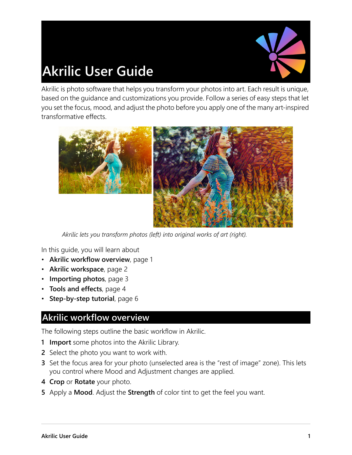# **Akrilic User Guide**



Akrilic is photo software that helps you transform your photos into art. Each result is unique, based on the guidance and customizations you provide. Follow a series of easy steps that let you set the focus, mood, and adjust the photo before you apply one of the many art-inspired transformative effects.



*Akrilic lets you transform photos (left) into original works of art (right).*

In this guide, you will learn about

- **[Akrilic workflow overview](#page-0-0)**, page 1
- **[Akrilic workspace](#page-1-0)**, page 2
- **[Importing photos](#page-2-0)**, page 3
- **[Tools and effects](#page-3-0)**, page 4
- **[Step-by-step tutorial](#page-5-0)**, page 6

## <span id="page-0-0"></span>**Akrilic workflow overview**

The following steps outline the basic workflow in Akrilic.

- **1 Import** some photos into the Akrilic Library.
- **2** Select the photo you want to work with.
- **3** Set the focus area for your photo (unselected area is the "rest of image" zone). This lets you control where Mood and Adjustment changes are applied.
- **4 Crop** or **Rotate** your photo.
- **5** Apply a **Mood**. Adjust the **Strength** of color tint to get the feel you want.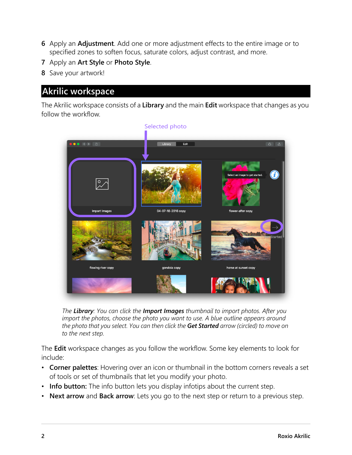- **6** Apply an **Adjustment**. Add one or more adjustment effects to the entire image or to specified zones to soften focus, saturate colors, adjust contrast, and more.
- **7** Apply an **Art Style** or **Photo Style**.
- **8** Save your artwork!

# <span id="page-1-0"></span>**Akrilic workspace**

The Akrilic workspace consists of a **Library** and the main **Edit** workspace that changes as you follow the workflow.



*The Library: You can click the Import Images thumbnail to import photos. After you import the photos, choose the photo you want to use. A blue outline appears around the photo that you select. You can then click the Get Started arrow (circled) to move on to the next step.*

The **Edit** workspace changes as you follow the workflow. Some key elements to look for include:

- **Corner palettes**: Hovering over an icon or thumbnail in the bottom corners reveals a set of tools or set of thumbnails that let you modify your photo.
- **Info button:** The info button lets you display infotips about the current step.
- **Next arrow** and **Back arrow**: Lets you go to the next step or return to a previous step.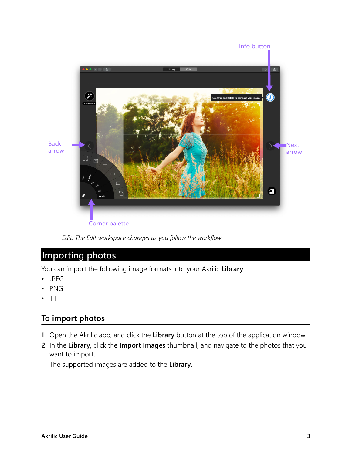

*Edit: The Edit workspace changes as you follow the workflow*

# <span id="page-2-0"></span>**Importing photos**

You can import the following image formats into your Akrilic **Library**:

- JPEG
- PNG
- TIFF

#### **To import photos**

- **1** Open the Akrilic app, and click the **Library** button at the top of the application window.
- **2** In the **Library**, click the **Import Images** thumbnail, and navigate to the photos that you want to import.

The supported images are added to the **Library**.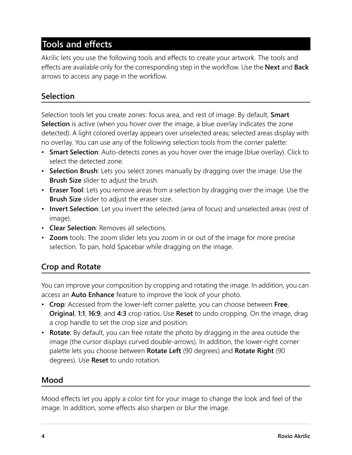# <span id="page-3-0"></span>**Tools and effects**

Akrilic lets you use the following tools and effects to create your artwork. The tools and effects are available only for the corresponding step in the workflow. Use the **Next** and **Back** arrows to access any page in the workflow.

## **Selection**

Selection tools let you create zones: focus area, and rest of image. By default, **Smart Selection** is active (when you hover over the image, a blue overlay indicates the zone detected). A light colored overlay appears over unselected areas; selected areas display with no overlay. You can use any of the following selection tools from the corner palette:

- **Smart Selection**: Auto-detects zones as you hover over the image (blue overlay). Click to select the detected zone.
- **Selection Brush**: Lets you select zones manually by dragging over the image. Use the **Brush Size** slider to adjust the brush.
- **Eraser Tool**: Lets you remove areas from a selection by dragging over the image. Use the **Brush Size** slider to adjust the eraser size.
- **Invert Selection**: Let you invert the selected (area of focus) and unselected areas (rest of image).
- **Clear Selection**: Removes all selections.
- **Zoom** tools: The zoom slider lets you zoom in or out of the image for more precise selection. To pan, hold Spacebar while dragging on the image.

# **Crop and Rotate**

You can improve your composition by cropping and rotating the image. In addition, you can access an **Auto Enhance** feature to improve the look of your photo.

- **Crop**: Accessed from the lower-left corner palette, you can choose between **Free**, **Original**, **1:1**, **16:9**, and **4:3** crop ratios. Use **Reset** to undo cropping. On the image, drag a crop handle to set the crop size and position.
- **Rotate**: By default, you can free rotate the photo by dragging in the area outside the image (the cursor displays curved double-arrows). In addition, the lower-right corner palette lets you choose between **Rotate Left** (90 degrees) and **Rotate Right** (90 degrees). Use **Reset** to undo rotation.

### **Mood**

Mood effects let you apply a color tint for your image to change the look and feel of the image. In addition, some effects also sharpen or blur the image.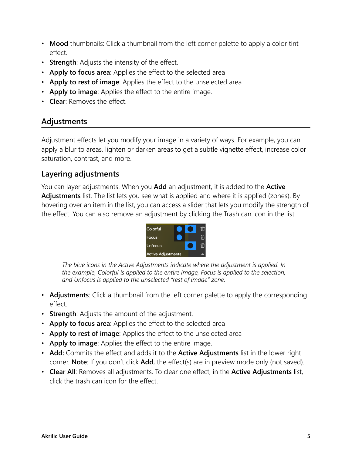- **Mood** thumbnails: Click a thumbnail from the left corner palette to apply a color tint effect.
- **Strength**: Adjusts the intensity of the effect.
- **Apply to focus area**: Applies the effect to the selected area
- **Apply to rest of image**: Applies the effect to the unselected area
- **Apply to image**: Applies the effect to the entire image.
- **Clear**: Removes the effect.

#### **Adjustments**

Adjustment effects let you modify your image in a variety of ways. For example, you can apply a blur to areas, lighten or darken areas to get a subtle vignette effect, increase color saturation, contrast, and more.

#### **Layering adjustments**

You can layer adjustments. When you **Add** an adjustment, it is added to the **Active Adjustments** list. The list lets you see what is applied and where it is applied (zones). By hovering over an item in the list, you can access a slider that lets you modify the strength of the effect. You can also remove an adjustment by clicking the Trash can icon in the list.



*The blue icons in the Active Adjustments indicate where the adjustment is applied. In the example, Colorful is applied to the entire image, Focus is applied to the selection, and Unfocus is applied to the unselected "rest of image" zone.*

- **Adjustments**: Click a thumbnail from the left corner palette to apply the corresponding effect.
- **Strength**: Adjusts the amount of the adjustment.
- **Apply to focus area**: Applies the effect to the selected area
- **Apply to rest of image**: Applies the effect to the unselected area
- **Apply to image**: Applies the effect to the entire image.
- **Add:** Commits the effect and adds it to the **Active Adjustments** list in the lower right corner. **Note**: If you don't click **Add**, the effect(s) are in preview mode only (not saved).
- **Clear All**: Removes all adjustments. To clear one effect, in the **Active Adjustments** list, click the trash can icon for the effect.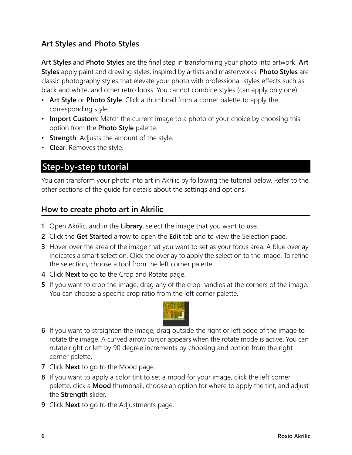## **Art Styles and Photo Styles**

**Art Styles** and **Photo Styles** are the final step in transforming your photo into artwork. **Art Styles** apply paint and drawing styles, inspired by artists and masterworks. **Photo Styles** are classic photography styles that elevate your photo with professional-styles effects such as black and white, and other retro looks. You cannot combine styles (can apply only one).

- **Art Style** or **Photo Style**: Click a thumbnail from a corner palette to apply the corresponding style.
- **Import Custom**: Match the current image to a photo of your choice by choosing this option from the **Photo Style** palette.
- **Strength**: Adjusts the amount of the style.
- **Clear**: Removes the style.

## <span id="page-5-0"></span>**Step-by-step tutorial**

You can transform your photo into art in Akrilic by following the tutorial below. Refer to the other sections of the guide for details about the settings and options.

#### **How to create photo art in Akrilic**

- **1** Open Akrilic, and in the **Library**, select the image that you want to use.
- **2** Click the **Get Started** arrow to open the **Edit** tab and to view the Selection page.
- **3** Hover over the area of the image that you want to set as your focus area. A blue overlay indicates a smart selection. Click the overlay to apply the selection to the image. To refine the selection, choose a tool from the left corner palette.
- **4** Click **Next** to go to the Crop and Rotate page.
- **5** If you want to crop the image, drag any of the crop handles at the corners of the image. You can choose a specific crop ratio from the left corner palette.



- **6** If you want to straighten the image, drag outside the right or left edge of the image to rotate the image. A curved arrow cursor appears when the rotate mode is active. You can rotate right or left by 90 degree increments by choosing and option from the right corner palette.
- **7** Click **Next** to go to the Mood page.
- **8** If you want to apply a color tint to set a mood for your image, click the left corner palette, click a **Mood** thumbnail, choose an option for where to apply the tint, and adjust the **Strength** slider.
- **9** Click **Next** to go to the Adjustments page.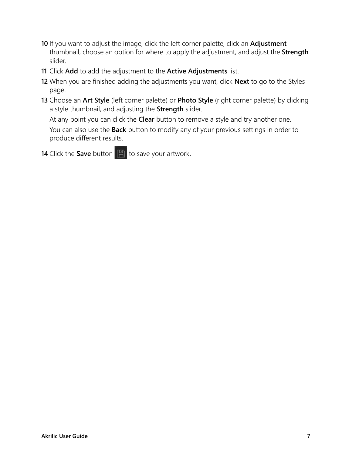- **10** If you want to adjust the image, click the left corner palette, click an **Adjustment** thumbnail, choose an option for where to apply the adjustment, and adjust the **Strength** slider.
- **11** Click **Add** to add the adjustment to the **Active Adjustments** list.
- **12** When you are finished adding the adjustments you want, click **Next** to go to the Styles page.
- **13** Choose an **Art Style** (left corner palette) or **Photo Style** (right corner palette) by clicking a style thumbnail, and adjusting the **Strength** slider.

At any point you can click the **Clear** button to remove a style and try another one.

You can also use the **Back** button to modify any of your previous settings in order to produce different results.

**14** Click the **Save** button **the same your artwork.**